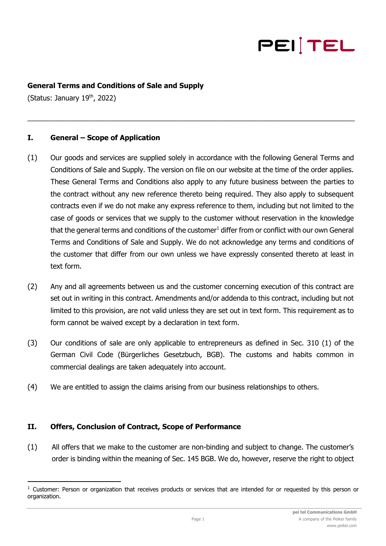

#### **General Terms and Conditions of Sale and Supply**

(Status: January  $19<sup>th</sup>$ , 2022)

#### **I. General – Scope of Application**

(1) Our goods and services are supplied solely in accordance with the following General Terms and Conditions of Sale and Supply. The version on file on our website at the time of the order applies. These General Terms and Conditions also apply to any future business between the parties to the contract without any new reference thereto being required. They also apply to subsequent contracts even if we do not make any express reference to them, including but not limited to the case of goods or services that we supply to the customer without reservation in the knowledge that the general terms and conditions of the customer<sup>1</sup> differ from or conflict with our own General Terms and Conditions of Sale and Supply. We do not acknowledge any terms and conditions of the customer that differ from our own unless we have expressly consented thereto at least in text form.

 $\_$  , and the set of the set of the set of the set of the set of the set of the set of the set of the set of the set of the set of the set of the set of the set of the set of the set of the set of the set of the set of th

- (2) Any and all agreements between us and the customer concerning execution of this contract are set out in writing in this contract. Amendments and/or addenda to this contract, including but not limited to this provision, are not valid unless they are set out in text form. This requirement as to form cannot be waived except by a declaration in text form.
- (3) Our conditions of sale are only applicable to entrepreneurs as defined in Sec. 310 (1) of the German Civil Code (Bürgerliches Gesetzbuch, BGB). The customs and habits common in commercial dealings are taken adequately into account.
- (4) We are entitled to assign the claims arising from our business relationships to others.

### **II. Offers, Conclusion of Contract, Scope of Performance**

(1) All offers that we make to the customer are non-binding and subject to change. The customer's order is binding within the meaning of Sec. 145 BGB. We do, however, reserve the right to object

 $1$  Customer: Person or organization that receives products or services that are intended for or requested by this person or organization.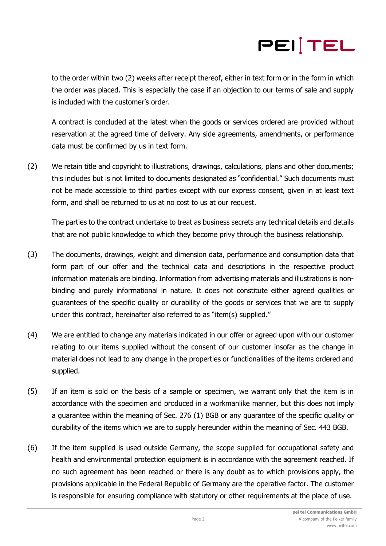to the order within two (2) weeks after receipt thereof, either in text form or in the form in which the order was placed. This is especially the case if an objection to our terms of sale and supply is included with the customer's order.

A contract is concluded at the latest when the goods or services ordered are provided without reservation at the agreed time of delivery. Any side agreements, amendments, or performance data must be confirmed by us in text form.

(2) We retain title and copyright to illustrations, drawings, calculations, plans and other documents; this includes but is not limited to documents designated as "confidential." Such documents must not be made accessible to third parties except with our express consent, given in at least text form, and shall be returned to us at no cost to us at our request.

The parties to the contract undertake to treat as business secrets any technical details and details that are not public knowledge to which they become privy through the business relationship.

- (3) The documents, drawings, weight and dimension data, performance and consumption data that form part of our offer and the technical data and descriptions in the respective product information materials are binding. Information from advertising materials and illustrations is nonbinding and purely informational in nature. It does not constitute either agreed qualities or guarantees of the specific quality or durability of the goods or services that we are to supply under this contract, hereinafter also referred to as "item(s) supplied."
- (4) We are entitled to change any materials indicated in our offer or agreed upon with our customer relating to our items supplied without the consent of our customer insofar as the change in material does not lead to any change in the properties or functionalities of the items ordered and supplied.
- (5) If an item is sold on the basis of a sample or specimen, we warrant only that the item is in accordance with the specimen and produced in a workmanlike manner, but this does not imply a guarantee within the meaning of Sec. 276 (1) BGB or any guarantee of the specific quality or durability of the items which we are to supply hereunder within the meaning of Sec. 443 BGB.
- (6) If the item supplied is used outside Germany, the scope supplied for occupational safety and health and environmental protection equipment is in accordance with the agreement reached. If no such agreement has been reached or there is any doubt as to which provisions apply, the provisions applicable in the Federal Republic of Germany are the operative factor. The customer is responsible for ensuring compliance with statutory or other requirements at the place of use.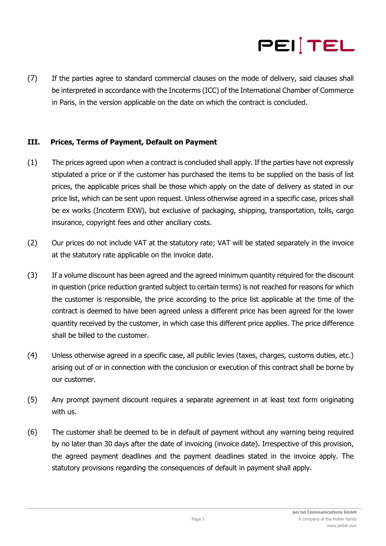

(7) If the parties agree to standard commercial clauses on the mode of delivery, said clauses shall be interpreted in accordance with the Incoterms (ICC) of the International Chamber of Commerce in Paris, in the version applicable on the date on which the contract is concluded.

### **III. Prices, Terms of Payment, Default on Payment**

- (1) The prices agreed upon when a contract is concluded shall apply. If the parties have not expressly stipulated a price or if the customer has purchased the items to be supplied on the basis of list prices, the applicable prices shall be those which apply on the date of delivery as stated in our price list, which can be sent upon request. Unless otherwise agreed in a specific case, prices shall be ex works (Incoterm EXW), but exclusive of packaging, shipping, transportation, tolls, cargo insurance, copyright fees and other ancillary costs.
- (2) Our prices do not include VAT at the statutory rate; VAT will be stated separately in the invoice at the statutory rate applicable on the invoice date.
- (3) If a volume discount has been agreed and the agreed minimum quantity required for the discount in question (price reduction granted subject to certain terms) is not reached for reasons for which the customer is responsible, the price according to the price list applicable at the time of the contract is deemed to have been agreed unless a different price has been agreed for the lower quantity received by the customer, in which case this different price applies. The price difference shall be billed to the customer.
- (4) Unless otherwise agreed in a specific case, all public levies (taxes, charges, customs duties, etc.) arising out of or in connection with the conclusion or execution of this contract shall be borne by our customer.
- (5) Any prompt payment discount requires a separate agreement in at least text form originating with us.
- (6) The customer shall be deemed to be in default of payment without any warning being required by no later than 30 days after the date of invoicing (invoice date). Irrespective of this provision, the agreed payment deadlines and the payment deadlines stated in the invoice apply. The statutory provisions regarding the consequences of default in payment shall apply.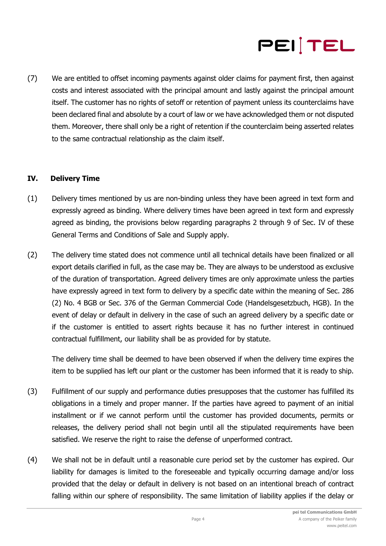

(7) We are entitled to offset incoming payments against older claims for payment first, then against costs and interest associated with the principal amount and lastly against the principal amount itself. The customer has no rights of setoff or retention of payment unless its counterclaims have been declared final and absolute by a court of law or we have acknowledged them or not disputed them. Moreover, there shall only be a right of retention if the counterclaim being asserted relates to the same contractual relationship as the claim itself.

#### **IV. Delivery Time**

- (1) Delivery times mentioned by us are non-binding unless they have been agreed in text form and expressly agreed as binding. Where delivery times have been agreed in text form and expressly agreed as binding, the provisions below regarding paragraphs 2 through 9 of Sec. IV of these General Terms and Conditions of Sale and Supply apply.
- (2) The delivery time stated does not commence until all technical details have been finalized or all export details clarified in full, as the case may be. They are always to be understood as exclusive of the duration of transportation. Agreed delivery times are only approximate unless the parties have expressly agreed in text form to delivery by a specific date within the meaning of Sec. 286 (2) No. 4 BGB or Sec. 376 of the German Commercial Code (Handelsgesetzbuch, HGB). In the event of delay or default in delivery in the case of such an agreed delivery by a specific date or if the customer is entitled to assert rights because it has no further interest in continued contractual fulfillment, our liability shall be as provided for by statute.

The delivery time shall be deemed to have been observed if when the delivery time expires the item to be supplied has left our plant or the customer has been informed that it is ready to ship.

- (3) Fulfillment of our supply and performance duties presupposes that the customer has fulfilled its obligations in a timely and proper manner. If the parties have agreed to payment of an initial installment or if we cannot perform until the customer has provided documents, permits or releases, the delivery period shall not begin until all the stipulated requirements have been satisfied. We reserve the right to raise the defense of unperformed contract.
- (4) We shall not be in default until a reasonable cure period set by the customer has expired. Our liability for damages is limited to the foreseeable and typically occurring damage and/or loss provided that the delay or default in delivery is not based on an intentional breach of contract falling within our sphere of responsibility. The same limitation of liability applies if the delay or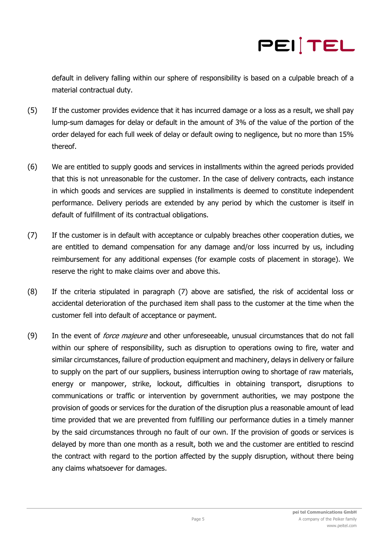default in delivery falling within our sphere of responsibility is based on a culpable breach of a material contractual duty.

- (5) If the customer provides evidence that it has incurred damage or a loss as a result, we shall pay lump-sum damages for delay or default in the amount of 3% of the value of the portion of the order delayed for each full week of delay or default owing to negligence, but no more than 15% thereof.
- (6) We are entitled to supply goods and services in installments within the agreed periods provided that this is not unreasonable for the customer. In the case of delivery contracts, each instance in which goods and services are supplied in installments is deemed to constitute independent performance. Delivery periods are extended by any period by which the customer is itself in default of fulfillment of its contractual obligations.
- (7) If the customer is in default with acceptance or culpably breaches other cooperation duties, we are entitled to demand compensation for any damage and/or loss incurred by us, including reimbursement for any additional expenses (for example costs of placement in storage). We reserve the right to make claims over and above this.
- (8) If the criteria stipulated in paragraph (7) above are satisfied, the risk of accidental loss or accidental deterioration of the purchased item shall pass to the customer at the time when the customer fell into default of acceptance or payment.
- (9) In the event of *force majeure* and other unforeseeable, unusual circumstances that do not fall within our sphere of responsibility, such as disruption to operations owing to fire, water and similar circumstances, failure of production equipment and machinery, delays in delivery or failure to supply on the part of our suppliers, business interruption owing to shortage of raw materials, energy or manpower, strike, lockout, difficulties in obtaining transport, disruptions to communications or traffic or intervention by government authorities, we may postpone the provision of goods or services for the duration of the disruption plus a reasonable amount of lead time provided that we are prevented from fulfilling our performance duties in a timely manner by the said circumstances through no fault of our own. If the provision of goods or services is delayed by more than one month as a result, both we and the customer are entitled to rescind the contract with regard to the portion affected by the supply disruption, without there being any claims whatsoever for damages.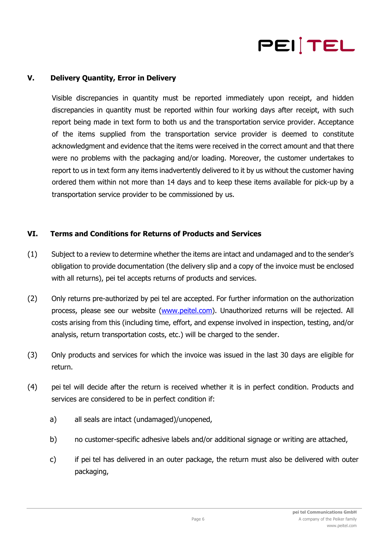

### **V. Delivery Quantity, Error in Delivery**

Visible discrepancies in quantity must be reported immediately upon receipt, and hidden discrepancies in quantity must be reported within four working days after receipt, with such report being made in text form to both us and the transportation service provider. Acceptance of the items supplied from the transportation service provider is deemed to constitute acknowledgment and evidence that the items were received in the correct amount and that there were no problems with the packaging and/or loading. Moreover, the customer undertakes to report to us in text form any items inadvertently delivered to it by us without the customer having ordered them within not more than 14 days and to keep these items available for pick-up by a transportation service provider to be commissioned by us.

#### **VI. Terms and Conditions for Returns of Products and Services**

- (1) Subject to a review to determine whether the items are intact and undamaged and to the sender's obligation to provide documentation (the delivery slip and a copy of the invoice must be enclosed with all returns), pei tel accepts returns of products and services.
- (2) Only returns pre-authorized by pei tel are accepted. For further information on the authorization process, please see our website (www.peitel.com). Unauthorized returns will be rejected. All costs arising from this (including time, effort, and expense involved in inspection, testing, and/or analysis, return transportation costs, etc.) will be charged to the sender.
- (3) Only products and services for which the invoice was issued in the last 30 days are eligible for return.
- (4) pei tel will decide after the return is received whether it is in perfect condition. Products and services are considered to be in perfect condition if:
	- a) all seals are intact (undamaged)/unopened,
	- b) no customer-specific adhesive labels and/or additional signage or writing are attached,
	- c) if pei tel has delivered in an outer package, the return must also be delivered with outer packaging,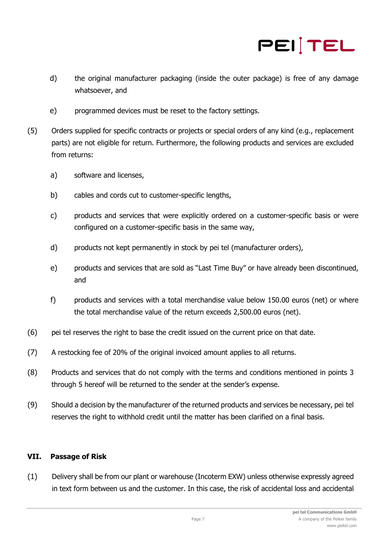

- d) the original manufacturer packaging (inside the outer package) is free of any damage whatsoever, and
- e) programmed devices must be reset to the factory settings.
- (5) Orders supplied for specific contracts or projects or special orders of any kind (e.g., replacement parts) are not eligible for return. Furthermore, the following products and services are excluded from returns:
	- a) software and licenses,
	- b) cables and cords cut to customer-specific lengths,
	- c) products and services that were explicitly ordered on a customer-specific basis or were configured on a customer-specific basis in the same way,
	- d) products not kept permanently in stock by pei tel (manufacturer orders),
	- e) products and services that are sold as "Last Time Buy" or have already been discontinued, and
	- f) products and services with a total merchandise value below 150.00 euros (net) or where the total merchandise value of the return exceeds 2,500.00 euros (net).
- (6) pei tel reserves the right to base the credit issued on the current price on that date.
- (7) A restocking fee of 20% of the original invoiced amount applies to all returns.
- (8) Products and services that do not comply with the terms and conditions mentioned in points 3 through 5 hereof will be returned to the sender at the sender's expense.
- (9) Should a decision by the manufacturer of the returned products and services be necessary, pei tel reserves the right to withhold credit until the matter has been clarified on a final basis.

### **VII. Passage of Risk**

(1) Delivery shall be from our plant or warehouse (Incoterm EXW) unless otherwise expressly agreed in text form between us and the customer. In this case, the risk of accidental loss and accidental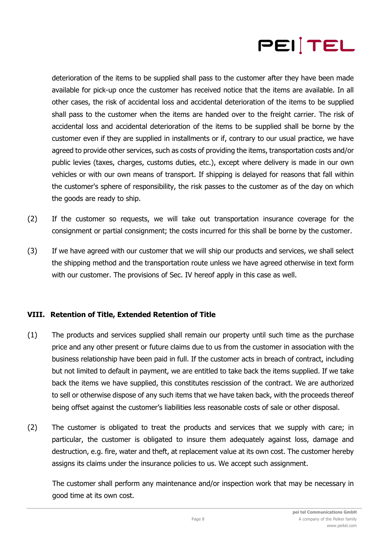deterioration of the items to be supplied shall pass to the customer after they have been made available for pick-up once the customer has received notice that the items are available. In all other cases, the risk of accidental loss and accidental deterioration of the items to be supplied shall pass to the customer when the items are handed over to the freight carrier. The risk of accidental loss and accidental deterioration of the items to be supplied shall be borne by the customer even if they are supplied in installments or if, contrary to our usual practice, we have agreed to provide other services, such as costs of providing the items, transportation costs and/or public levies (taxes, charges, customs duties, etc.), except where delivery is made in our own vehicles or with our own means of transport. If shipping is delayed for reasons that fall within the customer's sphere of responsibility, the risk passes to the customer as of the day on which the goods are ready to ship.

- (2) If the customer so requests, we will take out transportation insurance coverage for the consignment or partial consignment; the costs incurred for this shall be borne by the customer.
- (3) If we have agreed with our customer that we will ship our products and services, we shall select the shipping method and the transportation route unless we have agreed otherwise in text form with our customer. The provisions of Sec. IV hereof apply in this case as well.

### **VIII. Retention of Title, Extended Retention of Title**

- (1) The products and services supplied shall remain our property until such time as the purchase price and any other present or future claims due to us from the customer in association with the business relationship have been paid in full. If the customer acts in breach of contract, including but not limited to default in payment, we are entitled to take back the items supplied. If we take back the items we have supplied, this constitutes rescission of the contract. We are authorized to sell or otherwise dispose of any such items that we have taken back, with the proceeds thereof being offset against the customer's liabilities less reasonable costs of sale or other disposal.
- (2) The customer is obligated to treat the products and services that we supply with care; in particular, the customer is obligated to insure them adequately against loss, damage and destruction, e.g. fire, water and theft, at replacement value at its own cost. The customer hereby assigns its claims under the insurance policies to us. We accept such assignment.

The customer shall perform any maintenance and/or inspection work that may be necessary in good time at its own cost.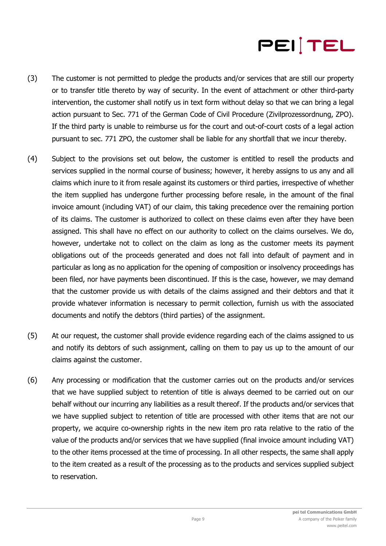- (3) The customer is not permitted to pledge the products and/or services that are still our property or to transfer title thereto by way of security. In the event of attachment or other third-party intervention, the customer shall notify us in text form without delay so that we can bring a legal action pursuant to Sec. 771 of the German Code of Civil Procedure (Zivilprozessordnung, ZPO). If the third party is unable to reimburse us for the court and out-of-court costs of a legal action pursuant to sec. 771 ZPO, the customer shall be liable for any shortfall that we incur thereby.
- (4) Subject to the provisions set out below, the customer is entitled to resell the products and services supplied in the normal course of business; however, it hereby assigns to us any and all claims which inure to it from resale against its customers or third parties, irrespective of whether the item supplied has undergone further processing before resale, in the amount of the final invoice amount (including VAT) of our claim, this taking precedence over the remaining portion of its claims. The customer is authorized to collect on these claims even after they have been assigned. This shall have no effect on our authority to collect on the claims ourselves. We do, however, undertake not to collect on the claim as long as the customer meets its payment obligations out of the proceeds generated and does not fall into default of payment and in particular as long as no application for the opening of composition or insolvency proceedings has been filed, nor have payments been discontinued. If this is the case, however, we may demand that the customer provide us with details of the claims assigned and their debtors and that it provide whatever information is necessary to permit collection, furnish us with the associated documents and notify the debtors (third parties) of the assignment.
- (5) At our request, the customer shall provide evidence regarding each of the claims assigned to us and notify its debtors of such assignment, calling on them to pay us up to the amount of our claims against the customer.
- (6) Any processing or modification that the customer carries out on the products and/or services that we have supplied subject to retention of title is always deemed to be carried out on our behalf without our incurring any liabilities as a result thereof. If the products and/or services that we have supplied subject to retention of title are processed with other items that are not our property, we acquire co-ownership rights in the new item pro rata relative to the ratio of the value of the products and/or services that we have supplied (final invoice amount including VAT) to the other items processed at the time of processing. In all other respects, the same shall apply to the item created as a result of the processing as to the products and services supplied subject to reservation.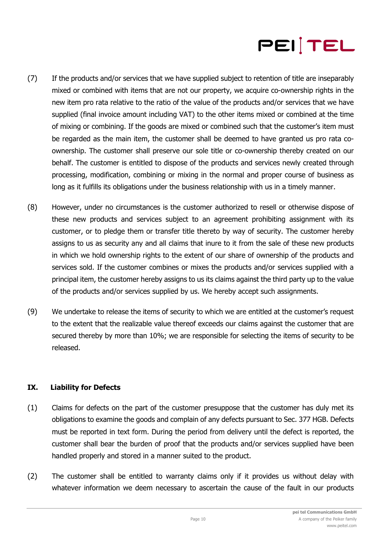- (7) If the products and/or services that we have supplied subject to retention of title are inseparably mixed or combined with items that are not our property, we acquire co-ownership rights in the new item pro rata relative to the ratio of the value of the products and/or services that we have supplied (final invoice amount including VAT) to the other items mixed or combined at the time of mixing or combining. If the goods are mixed or combined such that the customer's item must be regarded as the main item, the customer shall be deemed to have granted us pro rata coownership. The customer shall preserve our sole title or co-ownership thereby created on our behalf. The customer is entitled to dispose of the products and services newly created through processing, modification, combining or mixing in the normal and proper course of business as long as it fulfills its obligations under the business relationship with us in a timely manner.
- (8) However, under no circumstances is the customer authorized to resell or otherwise dispose of these new products and services subject to an agreement prohibiting assignment with its customer, or to pledge them or transfer title thereto by way of security. The customer hereby assigns to us as security any and all claims that inure to it from the sale of these new products in which we hold ownership rights to the extent of our share of ownership of the products and services sold. If the customer combines or mixes the products and/or services supplied with a principal item, the customer hereby assigns to us its claims against the third party up to the value of the products and/or services supplied by us. We hereby accept such assignments.
- (9) We undertake to release the items of security to which we are entitled at the customer's request to the extent that the realizable value thereof exceeds our claims against the customer that are secured thereby by more than 10%; we are responsible for selecting the items of security to be released.

### **IX. Liability for Defects**

- (1) Claims for defects on the part of the customer presuppose that the customer has duly met its obligations to examine the goods and complain of any defects pursuant to Sec. 377 HGB. Defects must be reported in text form. During the period from delivery until the defect is reported, the customer shall bear the burden of proof that the products and/or services supplied have been handled properly and stored in a manner suited to the product.
- (2) The customer shall be entitled to warranty claims only if it provides us without delay with whatever information we deem necessary to ascertain the cause of the fault in our products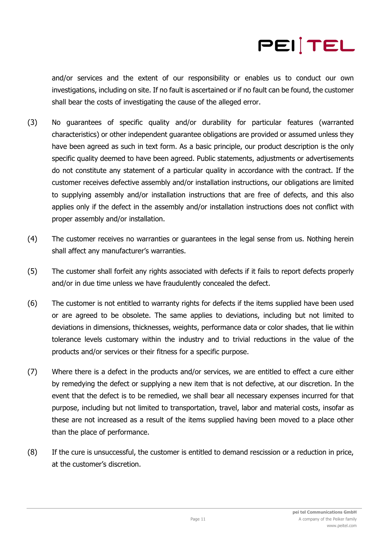

and/or services and the extent of our responsibility or enables us to conduct our own investigations, including on site. If no fault is ascertained or if no fault can be found, the customer shall bear the costs of investigating the cause of the alleged error.

- (3) No guarantees of specific quality and/or durability for particular features (warranted characteristics) or other independent guarantee obligations are provided or assumed unless they have been agreed as such in text form. As a basic principle, our product description is the only specific quality deemed to have been agreed. Public statements, adjustments or advertisements do not constitute any statement of a particular quality in accordance with the contract. If the customer receives defective assembly and/or installation instructions, our obligations are limited to supplying assembly and/or installation instructions that are free of defects, and this also applies only if the defect in the assembly and/or installation instructions does not conflict with proper assembly and/or installation.
- (4) The customer receives no warranties or guarantees in the legal sense from us. Nothing herein shall affect any manufacturer's warranties.
- (5) The customer shall forfeit any rights associated with defects if it fails to report defects properly and/or in due time unless we have fraudulently concealed the defect.
- (6) The customer is not entitled to warranty rights for defects if the items supplied have been used or are agreed to be obsolete. The same applies to deviations, including but not limited to deviations in dimensions, thicknesses, weights, performance data or color shades, that lie within tolerance levels customary within the industry and to trivial reductions in the value of the products and/or services or their fitness for a specific purpose.
- (7) Where there is a defect in the products and/or services, we are entitled to effect a cure either by remedying the defect or supplying a new item that is not defective, at our discretion. In the event that the defect is to be remedied, we shall bear all necessary expenses incurred for that purpose, including but not limited to transportation, travel, labor and material costs, insofar as these are not increased as a result of the items supplied having been moved to a place other than the place of performance.
- (8) If the cure is unsuccessful, the customer is entitled to demand rescission or a reduction in price, at the customer's discretion.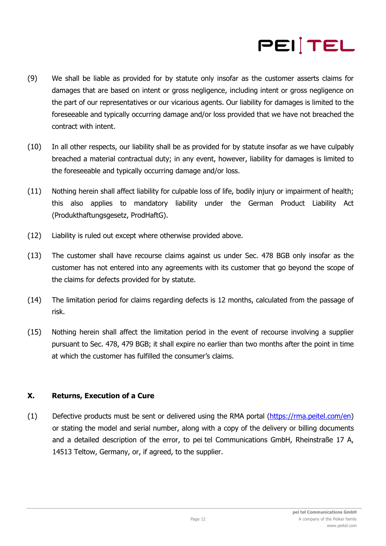

- (9) We shall be liable as provided for by statute only insofar as the customer asserts claims for damages that are based on intent or gross negligence, including intent or gross negligence on the part of our representatives or our vicarious agents. Our liability for damages is limited to the foreseeable and typically occurring damage and/or loss provided that we have not breached the contract with intent.
- (10) In all other respects, our liability shall be as provided for by statute insofar as we have culpably breached a material contractual duty; in any event, however, liability for damages is limited to the foreseeable and typically occurring damage and/or loss.
- (11) Nothing herein shall affect liability for culpable loss of life, bodily injury or impairment of health; this also applies to mandatory liability under the German Product Liability Act (Produkthaftungsgesetz, ProdHaftG).
- (12) Liability is ruled out except where otherwise provided above.
- (13) The customer shall have recourse claims against us under Sec. 478 BGB only insofar as the customer has not entered into any agreements with its customer that go beyond the scope of the claims for defects provided for by statute.
- (14) The limitation period for claims regarding defects is 12 months, calculated from the passage of risk.
- (15) Nothing herein shall affect the limitation period in the event of recourse involving a supplier pursuant to Sec. 478, 479 BGB; it shall expire no earlier than two months after the point in time at which the customer has fulfilled the consumer's claims.

### **X. Returns, Execution of a Cure**

(1) Defective products must be sent or delivered using the RMA portal (https://rma.peitel.com/en) or stating the model and serial number, along with a copy of the delivery or billing documents and a detailed description of the error, to pei tel Communications GmbH, Rheinstraße 17 A, 14513 Teltow, Germany, or, if agreed, to the supplier.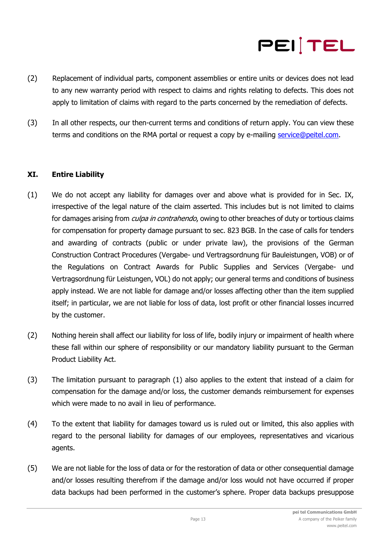- (2) Replacement of individual parts, component assemblies or entire units or devices does not lead to any new warranty period with respect to claims and rights relating to defects. This does not apply to limitation of claims with regard to the parts concerned by the remediation of defects.
- (3) In all other respects, our then-current terms and conditions of return apply. You can view these terms and conditions on the RMA portal or request a copy by e-mailing service@peitel.com.

### **XI. Entire Liability**

- (1) We do not accept any liability for damages over and above what is provided for in Sec. IX, irrespective of the legal nature of the claim asserted. This includes but is not limited to claims for damages arising from *culpa in contrahendo*, owing to other breaches of duty or tortious claims for compensation for property damage pursuant to sec. 823 BGB. In the case of calls for tenders and awarding of contracts (public or under private law), the provisions of the German Construction Contract Procedures (Vergabe- und Vertragsordnung für Bauleistungen, VOB) or of the Regulations on Contract Awards for Public Supplies and Services (Vergabe- und Vertragsordnung für Leistungen, VOL) do not apply; our general terms and conditions of business apply instead. We are not liable for damage and/or losses affecting other than the item supplied itself; in particular, we are not liable for loss of data, lost profit or other financial losses incurred by the customer.
- (2) Nothing herein shall affect our liability for loss of life, bodily injury or impairment of health where these fall within our sphere of responsibility or our mandatory liability pursuant to the German Product Liability Act.
- (3) The limitation pursuant to paragraph (1) also applies to the extent that instead of a claim for compensation for the damage and/or loss, the customer demands reimbursement for expenses which were made to no avail in lieu of performance.
- (4) To the extent that liability for damages toward us is ruled out or limited, this also applies with regard to the personal liability for damages of our employees, representatives and vicarious agents.
- (5) We are not liable for the loss of data or for the restoration of data or other consequential damage and/or losses resulting therefrom if the damage and/or loss would not have occurred if proper data backups had been performed in the customer's sphere. Proper data backups presuppose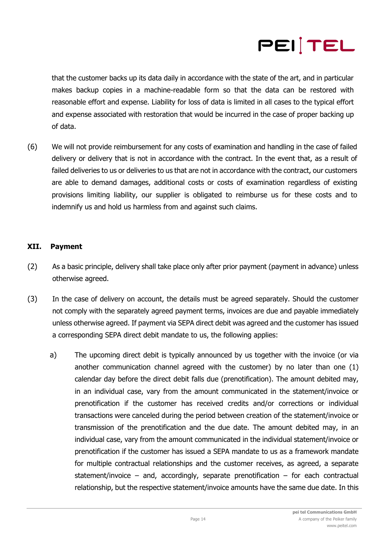that the customer backs up its data daily in accordance with the state of the art, and in particular makes backup copies in a machine-readable form so that the data can be restored with reasonable effort and expense. Liability for loss of data is limited in all cases to the typical effort and expense associated with restoration that would be incurred in the case of proper backing up of data.

(6) We will not provide reimbursement for any costs of examination and handling in the case of failed delivery or delivery that is not in accordance with the contract. In the event that, as a result of failed deliveries to us or deliveries to us that are not in accordance with the contract, our customers are able to demand damages, additional costs or costs of examination regardless of existing provisions limiting liability, our supplier is obligated to reimburse us for these costs and to indemnify us and hold us harmless from and against such claims.

### **XII. Payment**

- (2) As a basic principle, delivery shall take place only after prior payment (payment in advance) unless otherwise agreed.
- (3) In the case of delivery on account, the details must be agreed separately. Should the customer not comply with the separately agreed payment terms, invoices are due and payable immediately unless otherwise agreed. If payment via SEPA direct debit was agreed and the customer has issued a corresponding SEPA direct debit mandate to us, the following applies:
	- a) The upcoming direct debit is typically announced by us together with the invoice (or via another communication channel agreed with the customer) by no later than one (1) calendar day before the direct debit falls due (prenotification). The amount debited may, in an individual case, vary from the amount communicated in the statement/invoice or prenotification if the customer has received credits and/or corrections or individual transactions were canceled during the period between creation of the statement/invoice or transmission of the prenotification and the due date. The amount debited may, in an individual case, vary from the amount communicated in the individual statement/invoice or prenotification if the customer has issued a SEPA mandate to us as a framework mandate for multiple contractual relationships and the customer receives, as agreed, a separate statement/invoice – and, accordingly, separate prenotification – for each contractual relationship, but the respective statement/invoice amounts have the same due date. In this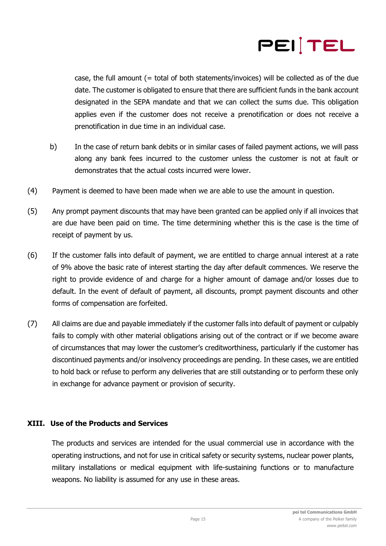

case, the full amount (= total of both statements/invoices) will be collected as of the due date. The customer is obligated to ensure that there are sufficient funds in the bank account designated in the SEPA mandate and that we can collect the sums due. This obligation applies even if the customer does not receive a prenotification or does not receive a prenotification in due time in an individual case.

- b) In the case of return bank debits or in similar cases of failed payment actions, we will pass along any bank fees incurred to the customer unless the customer is not at fault or demonstrates that the actual costs incurred were lower.
- (4) Payment is deemed to have been made when we are able to use the amount in question.
- (5) Any prompt payment discounts that may have been granted can be applied only if all invoices that are due have been paid on time. The time determining whether this is the case is the time of receipt of payment by us.
- (6) If the customer falls into default of payment, we are entitled to charge annual interest at a rate of 9% above the basic rate of interest starting the day after default commences. We reserve the right to provide evidence of and charge for a higher amount of damage and/or losses due to default. In the event of default of payment, all discounts, prompt payment discounts and other forms of compensation are forfeited.
- (7) All claims are due and payable immediately if the customer falls into default of payment or culpably fails to comply with other material obligations arising out of the contract or if we become aware of circumstances that may lower the customer's creditworthiness, particularly if the customer has discontinued payments and/or insolvency proceedings are pending. In these cases, we are entitled to hold back or refuse to perform any deliveries that are still outstanding or to perform these only in exchange for advance payment or provision of security.

### **XIII. Use of the Products and Services**

The products and services are intended for the usual commercial use in accordance with the operating instructions, and not for use in critical safety or security systems, nuclear power plants, military installations or medical equipment with life-sustaining functions or to manufacture weapons. No liability is assumed for any use in these areas.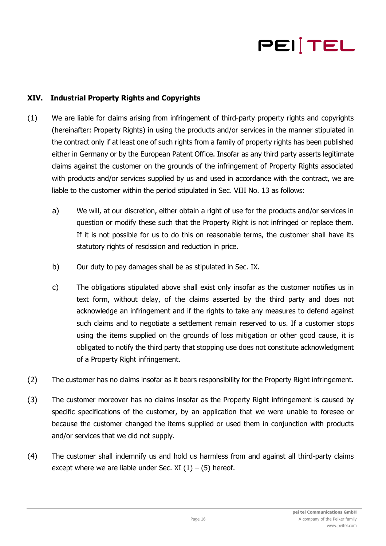

### **XIV. Industrial Property Rights and Copyrights**

- (1) We are liable for claims arising from infringement of third-party property rights and copyrights (hereinafter: Property Rights) in using the products and/or services in the manner stipulated in the contract only if at least one of such rights from a family of property rights has been published either in Germany or by the European Patent Office. Insofar as any third party asserts legitimate claims against the customer on the grounds of the infringement of Property Rights associated with products and/or services supplied by us and used in accordance with the contract, we are liable to the customer within the period stipulated in Sec. VIII No. 13 as follows:
	- a) We will, at our discretion, either obtain a right of use for the products and/or services in question or modify these such that the Property Right is not infringed or replace them. If it is not possible for us to do this on reasonable terms, the customer shall have its statutory rights of rescission and reduction in price.
	- b) Our duty to pay damages shall be as stipulated in Sec. IX.
	- c) The obligations stipulated above shall exist only insofar as the customer notifies us in text form, without delay, of the claims asserted by the third party and does not acknowledge an infringement and if the rights to take any measures to defend against such claims and to negotiate a settlement remain reserved to us. If a customer stops using the items supplied on the grounds of loss mitigation or other good cause, it is obligated to notify the third party that stopping use does not constitute acknowledgment of a Property Right infringement.
- (2) The customer has no claims insofar as it bears responsibility for the Property Right infringement.
- (3) The customer moreover has no claims insofar as the Property Right infringement is caused by specific specifications of the customer, by an application that we were unable to foresee or because the customer changed the items supplied or used them in conjunction with products and/or services that we did not supply.
- (4) The customer shall indemnify us and hold us harmless from and against all third-party claims except where we are liable under Sec. XI  $(1) - (5)$  hereof.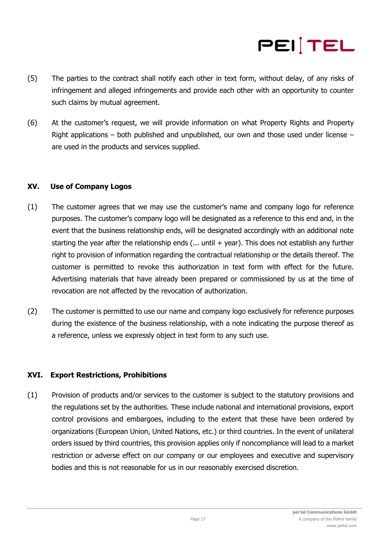- (5) The parties to the contract shall notify each other in text form, without delay, of any risks of infringement and alleged infringements and provide each other with an opportunity to counter such claims by mutual agreement.
- (6) At the customer's request, we will provide information on what Property Rights and Property Right applications – both published and unpublished, our own and those used under license – are used in the products and services supplied.

### **XV. Use of Company Logos**

- (1) The customer agrees that we may use the customer's name and company logo for reference purposes. The customer's company logo will be designated as a reference to this end and, in the event that the business relationship ends, will be designated accordingly with an additional note starting the year after the relationship ends  $(...$  until + year). This does not establish any further right to provision of information regarding the contractual relationship or the details thereof. The customer is permitted to revoke this authorization in text form with effect for the future. Advertising materials that have already been prepared or commissioned by us at the time of revocation are not affected by the revocation of authorization.
- (2) The customer is permitted to use our name and company logo exclusively for reference purposes during the existence of the business relationship, with a note indicating the purpose thereof as a reference, unless we expressly object in text form to any such use.

#### **XVI. Export Restrictions, Prohibitions**

(1) Provision of products and/or services to the customer is subject to the statutory provisions and the regulations set by the authorities. These include national and international provisions, export control provisions and embargoes, including to the extent that these have been ordered by organizations (European Union, United Nations, etc.) or third countries. In the event of unilateral orders issued by third countries, this provision applies only if noncompliance will lead to a market restriction or adverse effect on our company or our employees and executive and supervisory bodies and this is not reasonable for us in our reasonably exercised discretion.